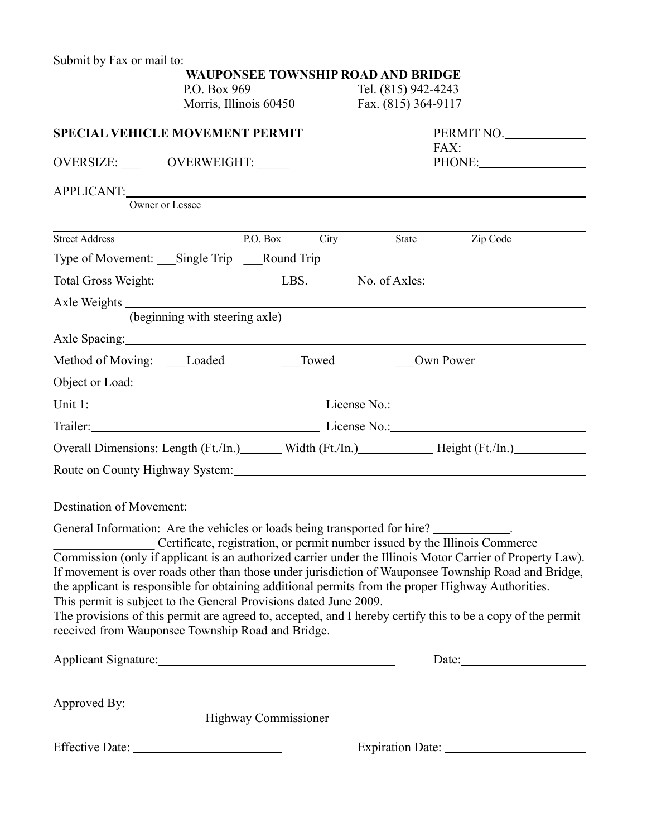Submit by Fax or mail to:

|                                                                                                                                                                                                                                |                                | <b>WAUPONSEE TOWNSHIP ROAD AND BRIDGE</b> |                     |                                                                                                                                                                                                                                                                                                                         |  |
|--------------------------------------------------------------------------------------------------------------------------------------------------------------------------------------------------------------------------------|--------------------------------|-------------------------------------------|---------------------|-------------------------------------------------------------------------------------------------------------------------------------------------------------------------------------------------------------------------------------------------------------------------------------------------------------------------|--|
| P.O. Box 969                                                                                                                                                                                                                   |                                |                                           | Tel. (815) 942-4243 |                                                                                                                                                                                                                                                                                                                         |  |
|                                                                                                                                                                                                                                | Morris, Illinois 60450         |                                           | Fax. (815) 364-9117 |                                                                                                                                                                                                                                                                                                                         |  |
| <b>SPECIAL VEHICLE MOVEMENT PERMIT</b>                                                                                                                                                                                         |                                |                                           |                     | PERMIT NO.                                                                                                                                                                                                                                                                                                              |  |
| OVERSIZE: OVERWEIGHT:                                                                                                                                                                                                          |                                |                                           |                     | PHONE:                                                                                                                                                                                                                                                                                                                  |  |
| APPLICANT:                                                                                                                                                                                                                     | Owner or Lessee                |                                           |                     |                                                                                                                                                                                                                                                                                                                         |  |
|                                                                                                                                                                                                                                |                                |                                           |                     |                                                                                                                                                                                                                                                                                                                         |  |
| <b>Street Address</b>                                                                                                                                                                                                          |                                | P.O. Box<br>City                          |                     | Zip Code<br>State                                                                                                                                                                                                                                                                                                       |  |
| Type of Movement: ___ Single Trip ____ Round Trip                                                                                                                                                                              |                                |                                           |                     |                                                                                                                                                                                                                                                                                                                         |  |
|                                                                                                                                                                                                                                |                                |                                           |                     |                                                                                                                                                                                                                                                                                                                         |  |
|                                                                                                                                                                                                                                |                                |                                           |                     |                                                                                                                                                                                                                                                                                                                         |  |
|                                                                                                                                                                                                                                | (beginning with steering axle) |                                           |                     |                                                                                                                                                                                                                                                                                                                         |  |
| Axle Spacing: 1992. The Spacing of the Spacing of the Spacing of the Spacing of the Spacing of the Spacing of the Spacing of the Spacing of the Spacing of the Spacing of the Spacing of the Spacing of the Spacing of the Spa |                                |                                           |                     |                                                                                                                                                                                                                                                                                                                         |  |
| Method of Moving: Loaded                                                                                                                                                                                                       |                                | Towed                                     |                     | Own Power                                                                                                                                                                                                                                                                                                               |  |
| Object or Load: 1000 million contains the contract of the contract of the contract of the contract of the contract of the contract of the contract of the contract of the contract of the contract of the contract of the cont |                                |                                           |                     |                                                                                                                                                                                                                                                                                                                         |  |
|                                                                                                                                                                                                                                |                                |                                           |                     |                                                                                                                                                                                                                                                                                                                         |  |
|                                                                                                                                                                                                                                |                                |                                           |                     |                                                                                                                                                                                                                                                                                                                         |  |
|                                                                                                                                                                                                                                |                                |                                           |                     | Overall Dimensions: Length (Ft./In.) Width (Ft./In.) Height (Ft./In.)                                                                                                                                                                                                                                                   |  |
|                                                                                                                                                                                                                                |                                |                                           |                     | Route on County Highway System: 1986. The Country of the Country Highway System:                                                                                                                                                                                                                                        |  |
| Destination of Movement: 2008 and 2008 and 2008 and 2008 and 2008 and 2008 and 2008 and 2008 and 2008 and 2008                                                                                                                 |                                |                                           |                     |                                                                                                                                                                                                                                                                                                                         |  |
| General Information: Are the vehicles or loads being transported for hire? __________.                                                                                                                                         |                                |                                           |                     | Certificate, registration, or permit number issued by the Illinois Commerce                                                                                                                                                                                                                                             |  |
| This permit is subject to the General Provisions dated June 2009.                                                                                                                                                              |                                |                                           |                     | Commission (only if applicant is an authorized carrier under the Illinois Motor Carrier of Property Law).<br>If movement is over roads other than those under jurisdiction of Wauponsee Township Road and Bridge,<br>the applicant is responsible for obtaining additional permits from the proper Highway Authorities. |  |
| received from Wauponsee Township Road and Bridge.                                                                                                                                                                              |                                |                                           |                     | The provisions of this permit are agreed to, accepted, and I hereby certify this to be a copy of the permit                                                                                                                                                                                                             |  |
|                                                                                                                                                                                                                                |                                |                                           |                     |                                                                                                                                                                                                                                                                                                                         |  |
|                                                                                                                                                                                                                                |                                |                                           |                     |                                                                                                                                                                                                                                                                                                                         |  |
|                                                                                                                                                                                                                                |                                |                                           |                     |                                                                                                                                                                                                                                                                                                                         |  |
|                                                                                                                                                                                                                                |                                |                                           |                     |                                                                                                                                                                                                                                                                                                                         |  |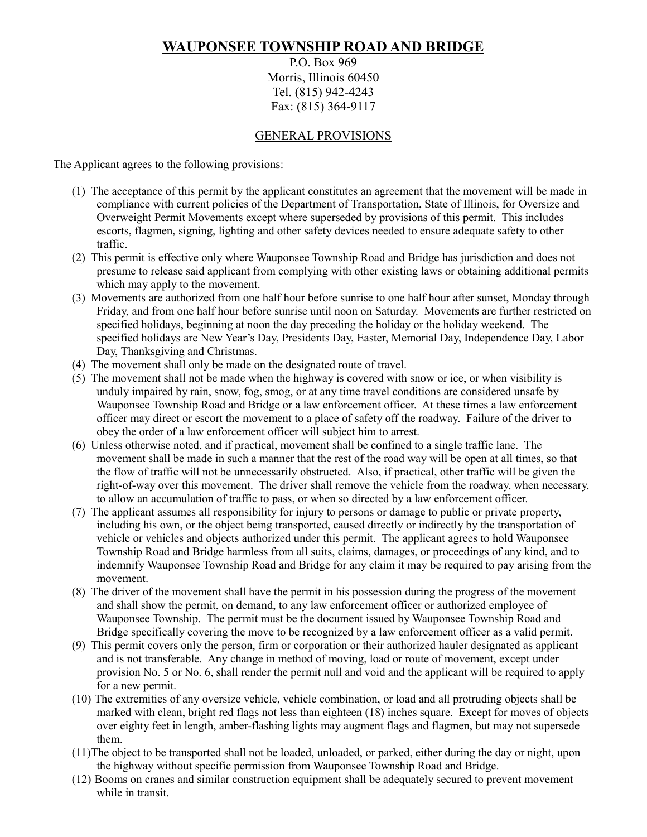## **WAUPONSEE TOWNSHIP ROAD AND BRIDGE**

P.O. Box 969 Morris, Illinois 60450 Tel. (815) 942-4243 Fax: (815) 364-9117

## GENERAL PROVISIONS

The Applicant agrees to the following provisions:

- (1) The acceptance of this permit by the applicant constitutes an agreement that the movement will be made in compliance with current policies of the Department of Transportation, State of Illinois, for Oversize and Overweight Permit Movements except where superseded by provisions of this permit. This includes escorts, flagmen, signing, lighting and other safety devices needed to ensure adequate safety to other traffic.
- (2) This permit is effective only where Wauponsee Township Road and Bridge has jurisdiction and does not presume to release said applicant from complying with other existing laws or obtaining additional permits which may apply to the movement.
- (3) Movements are authorized from one half hour before sunrise to one half hour after sunset, Monday through Friday, and from one half hour before sunrise until noon on Saturday. Movements are further restricted on specified holidays, beginning at noon the day preceding the holiday or the holiday weekend. The specified holidays are New Year's Day, Presidents Day, Easter, Memorial Day, Independence Day, Labor Day, Thanksgiving and Christmas.
- (4) The movement shall only be made on the designated route of travel.
- (5) The movement shall not be made when the highway is covered with snow or ice, or when visibility is unduly impaired by rain, snow, fog, smog, or at any time travel conditions are considered unsafe by Wauponsee Township Road and Bridge or a law enforcement officer. At these times a law enforcement officer may direct or escort the movement to a place of safety off the roadway. Failure of the driver to obey the order of a law enforcement officer will subject him to arrest.
- (6) Unless otherwise noted, and if practical, movement shall be confined to a single traffic lane. The movement shall be made in such a manner that the rest of the road way will be open at all times, so that the flow of traffic will not be unnecessarily obstructed. Also, if practical, other traffic will be given the right-of-way over this movement. The driver shall remove the vehicle from the roadway, when necessary, to allow an accumulation of traffic to pass, or when so directed by a law enforcement officer.
- (7) The applicant assumes all responsibility for injury to persons or damage to public or private property, including his own, or the object being transported, caused directly or indirectly by the transportation of vehicle or vehicles and objects authorized under this permit. The applicant agrees to hold Wauponsee Township Road and Bridge harmless from all suits, claims, damages, or proceedings of any kind, and to indemnify Wauponsee Township Road and Bridge for any claim it may be required to pay arising from the movement.
- (8) The driver of the movement shall have the permit in his possession during the progress of the movement and shall show the permit, on demand, to any law enforcement officer or authorized employee of Wauponsee Township. The permit must be the document issued by Wauponsee Township Road and Bridge specifically covering the move to be recognized by a law enforcement officer as a valid permit.
- (9) This permit covers only the person, firm or corporation or their authorized hauler designated as applicant and is not transferable. Any change in method of moving, load or route of movement, except under provision No. 5 or No. 6, shall render the permit null and void and the applicant will be required to apply for a new permit.
- (10) The extremities of any oversize vehicle, vehicle combination, or load and all protruding objects shall be marked with clean, bright red flags not less than eighteen (18) inches square. Except for moves of objects over eighty feet in length, amber-flashing lights may augment flags and flagmen, but may not supersede them.
- (11)The object to be transported shall not be loaded, unloaded, or parked, either during the day or night, upon the highway without specific permission from Wauponsee Township Road and Bridge.
- (12) Booms on cranes and similar construction equipment shall be adequately secured to prevent movement while in transit.